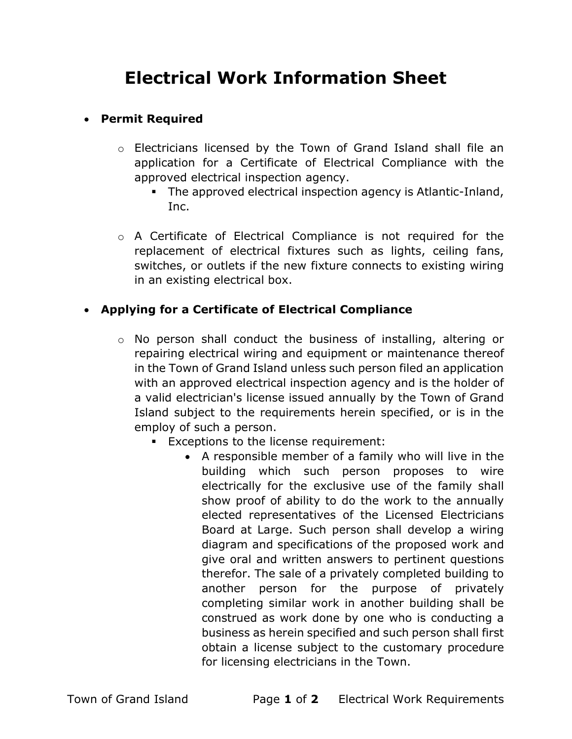## Electrical Work Information Sheet

## Permit Required

- o Electricians licensed by the Town of Grand Island shall file an application for a Certificate of Electrical Compliance with the approved electrical inspection agency.
	- The approved electrical inspection agency is Atlantic-Inland, Inc.
- o A Certificate of Electrical Compliance is not required for the replacement of electrical fixtures such as lights, ceiling fans, switches, or outlets if the new fixture connects to existing wiring in an existing electrical box.

## Applying for a Certificate of Electrical Compliance

- o No person shall conduct the business of installing, altering or repairing electrical wiring and equipment or maintenance thereof in the Town of Grand Island unless such person filed an application with an approved electrical inspection agency and is the holder of a valid electrician's license issued annually by the Town of Grand Island subject to the requirements herein specified, or is in the employ of such a person.
	- **Exceptions to the license requirement:** 
		- A responsible member of a family who will live in the building which such person proposes to wire electrically for the exclusive use of the family shall show proof of ability to do the work to the annually elected representatives of the Licensed Electricians Board at Large. Such person shall develop a wiring diagram and specifications of the proposed work and give oral and written answers to pertinent questions therefor. The sale of a privately completed building to another person for the purpose of privately completing similar work in another building shall be construed as work done by one who is conducting a business as herein specified and such person shall first obtain a license subject to the customary procedure for licensing electricians in the Town.